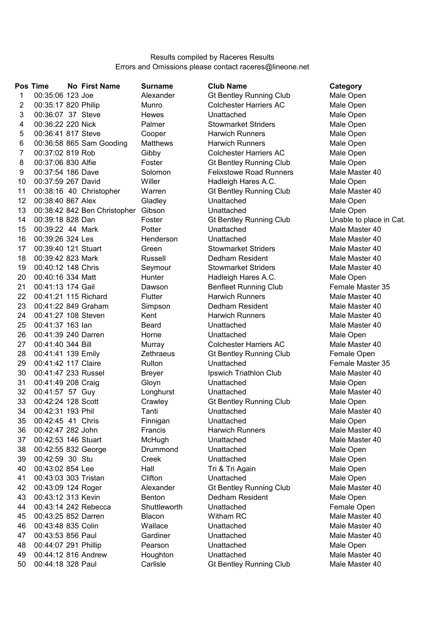## Results compiled by Raceres Results Errors and Omissions please contact raceres@lineone.net

|              | <b>Pos Time</b>      | <b>No First Name</b>         | <b>Surname</b>  | <b>Club Name</b>               | Category           |
|--------------|----------------------|------------------------------|-----------------|--------------------------------|--------------------|
| $\mathbf{1}$ | 00:35:06 123 Joe     |                              | Alexander       | <b>Gt Bentley Running Club</b> | Male Open          |
| 2            | 00:35:17 820 Philip  |                              | Munro           | <b>Colchester Harriers AC</b>  | Male Open          |
| 3            | 00:36:07 37 Steve    |                              | <b>Hewes</b>    | Unattached                     | Male Open          |
| 4            | 00:36:22 220 Nick    |                              | Palmer          | <b>Stowmarket Striders</b>     | Male Open          |
| 5            | 00:36:41 817 Steve   |                              | Cooper          | <b>Harwich Runners</b>         | Male Open          |
| 6            |                      | 00:36:58 865 Sam Gooding     | <b>Matthews</b> | <b>Harwich Runners</b>         | Male Open          |
| 7            | 00:37:02 819 Rob     |                              | Gibby           | <b>Colchester Harriers AC</b>  | Male Open          |
| 8            | 00:37:06 830 Alfie   |                              | Foster          | <b>Gt Bentley Running Club</b> | Male Open          |
| 9            | 00:37:54 186 Dave    |                              | Solomon         | <b>Felixstowe Road Runners</b> | Male Master 40     |
| 10           | 00:37:59 267 David   |                              | Willer          | Hadleigh Hares A.C.            | Male Open          |
| 11           |                      | 00:38:16 40 Christopher      | Warren          | <b>Gt Bentley Running Club</b> | Male Master 40     |
| 12           | 00:38:40 867 Alex    |                              | Gladley         | Unattached                     | Male Open          |
| 13           |                      | 00:38:42 842 Ben Christopher | Gibson          | Unattached                     | Male Open          |
| 14           | 00:39:18 828 Dan     |                              | Foster          | <b>Gt Bentley Running Club</b> | Unable to place in |
| 15           | 00:39:22 44 Mark     |                              | Potter          | Unattached                     | Male Master 40     |
| 16           | 00:39:26 324 Les     |                              | Henderson       | Unattached                     | Male Master 40     |
| 17           | 00:39:40 121 Stuart  |                              | Green           | <b>Stowmarket Striders</b>     | Male Master 40     |
| 18           | 00:39:42 823 Mark    |                              | Russell         | Dedham Resident                | Male Master 40     |
| 19           | 00:40:12 148 Chris   |                              | Seymour         | <b>Stowmarket Striders</b>     | Male Master 40     |
| 20           | 00:40:16 334 Matt    |                              | Hunter          | Hadleigh Hares A.C.            | Male Open          |
| 21           | 00:41:13 174 Gail    |                              | Dawson          | <b>Benfleet Running Club</b>   | Female Master 35   |
| 22           | 00:41:21 115 Richard |                              | <b>Flutter</b>  | <b>Harwich Runners</b>         | Male Master 40     |
| 23           | 00:41:22 849 Graham  |                              | Simpson         | Dedham Resident                | Male Master 40     |
| 24           | 00:41:27 108 Steven  |                              | Kent            | <b>Harwich Runners</b>         | Male Master 40     |
| 25           | 00:41:37 163 lan     |                              | <b>Beard</b>    | Unattached                     | Male Master 40     |
| 26           | 00:41:39 240 Darren  |                              | Horne           | Unattached                     | Male Open          |
| 27           | 00:41:40 344 Bill    |                              | Murray          | <b>Colchester Harriers AC</b>  | Male Master 40     |
| 28           | 00:41:41 139 Emily   |                              | Zethraeus       | <b>Gt Bentley Running Club</b> | Female Open        |
| 29           | 00:41:42 117 Claire  |                              | Rulton          | Unattached                     | Female Master 35   |
| 30           | 00:41:47 233 Russel  |                              | <b>Breyer</b>   | Ipswich Triathlon Club         | Male Master 40     |
| 31           | 00:41:49 208 Craig   |                              | Gloyn           | Unattached                     | Male Open          |
| 32           | 00:41:57 57 Guy      |                              | Longhurst       | Unattached                     | Male Master 40     |
| 33           | 00:42:24 128 Scott   |                              | Crawley         | <b>Gt Bentley Running Club</b> | Male Open          |
| 34           | 00:42:31 193 Phil    |                              | Tanti           | Unattached                     | Male Master 40     |
| 35           | 00:42:45 41 Chris    |                              | Finnigan        | Unattached                     | Male Open          |
| 36           | 00:42:47 282 John    |                              | Francis         | <b>Harwich Runners</b>         | Male Master 40     |
| 37           | 00:42:53 146 Stuart  |                              | McHugh          | Unattached                     | Male Master 40     |
| 38           | 00:42:55 832 George  |                              | Drummond        | Unattached                     | Male Open          |
| 39           | 00:42:59 30 Stu      |                              | Creek           | Unattached                     | Male Open          |
| 40           | 00:43:02 854 Lee     |                              | Hall            | Tri & Tri Again                | Male Open          |
| 41           | 00:43:03 303 Tristan |                              | Clifton         | Unattached                     | Male Open          |
| 42           | 00:43:09 124 Roger   |                              | Alexander       | <b>Gt Bentley Running Club</b> | Male Master 40     |
| 43           | 00:43:12 313 Kevin   |                              | <b>Benton</b>   | Dedham Resident                | Male Open          |
| 44           |                      | 00:43:14 242 Rebecca         | Shuttleworth    | Unattached                     | Female Open        |
| 45           | 00:43:25 852 Darren  |                              | <b>Blacon</b>   | Witham RC                      | Male Master 40     |
| 46           | 00:43:48 835 Colin   |                              | Wallace         | Unattached                     | Male Master 40     |
| 47           | 00:43:53 856 Paul    |                              | Gardiner        | Unattached                     | Male Master 40     |
| 48           | 00:44:07 291 Phillip |                              | Pearson         | Unattached                     | Male Open          |
| 49           | 00:44:12 816 Andrew  |                              | Houghton        | Unattached                     | Male Master 40     |
| 50           | 00:44:18 328 Paul    |                              | Carlisle        | <b>Gt Bentley Running Club</b> | Male Master 40     |

**Times Name Category** Gt Bentley Running Club Male Open 2 00:35:17 820 Philip Munro Colchester Harriers AC Male Open Stowmarket Striders Male Open Harwich Runners Male Open Harwich Runners Male Open **7** Colchester Harriers AC Male Open 6 Gt Bentley Running Club Male Open Felixstowe Road Runners Male Master 40 11 60 Gt Bentley Running Club Male Master 40 12 00:38:40 867 Alex Unattached Male Open 14 Gt Bentley Running Club Unable to place in Cat. 15 00:39:22 44 Mark Potter Unattached Male Master 40 16 00:39:26 324 Les Henderson Unattached Male Master 40 **17 Stowmarket Striders Male Master 40** 18 Dedham Resident Male Master 40 19 Stowmarket Striders Male Master 40 22 00:41:21 115 Richard Flutter Harwich Runners Male Master 40 Dedham Resident Male Master 40 Harwich Runners Male Master 40 25 00:41:37 163 Ian Beard Unattached Male Master 40 27 Colchester Harriers AC Male Master 40 Gt Bentley Running Club Female Open 29 00:41:42 117 Claire Unattached Female Master 35 Ipswich Triathlon Club Male Master 40 Unattached Male Master 40 Gt Bentley Running Club Male Open 34 00:42:31 193 Unattached Male Master 40 36 00:42:47 282 John Francis Harwich Runners Male Master 40 37 00:42:53 146 Stuart Unattached Male Master 40 39 00:42:59 30 Creek Unattached Male Open 41 00:43:03 303 Tristan Clifton Unattached Male Open Gt Bentley Running Club Male Master 40 Dedham Resident Male Open 44 00:43:14 242 Rebecca Unattached Female Open Witham RC Male Master 40 46 00:43:48 835 Colin Wallace Unattached Male Master 40 Unattached Male Master 40 49 00:44:12 816 Andrew Unattached Male Master 40 60 60 500 61 328 Gt Bentley Running Club Male Master 40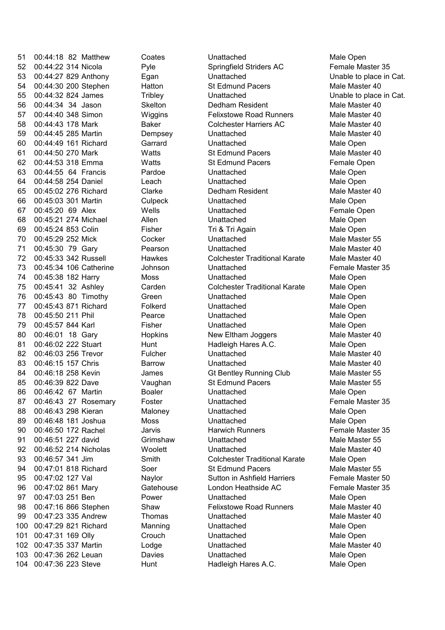52 00:44:22 314 Nicola Springfield Striders AC Female Master 35 53 00:44:27 829 Anthony Egan Unattached Unable to place in Cat. 54 00:44:30 200 Stephen Hatton St Edmund Pacers Male Master 40 55 00:44:32 824 James Unattached Unable to place in Cat. 56 00:44:34 34 Jason Dedham Resident Male Master 40 57 00:44:40 348 Simon Wiggins Felixstowe Road Runners Male Master 40 58 00:44:43 178 Mark Baker Colchester Harriers AC Male Master 40 59 00:44:45 285 Martin Dempsey Unattached Male Master 40 60 00:44:49 161 Richard Unattached Male Open 61 00:44:50 270 Mark Watts St Edmund Pacers Male Master 40 62 00:44:53 318 Emma Watts St Edmund Pacers Female Open 63 00:44:55 64 Francis Unattached Male Open 64 00:44:58 254 Daniel Leach Unattached Male Open 65 00:45:02 276 Richard Clarke Dedham Resident Male Master 40 66 00:45:03 301 Martin Unattached Male Open 67 00:45:20 69 Alex Wells Unattached Female Open 68 00:45:21 274 Michael Allen Unattached Male Open 69 00:45:24 853 Colin Fisher Tri & Tri Again Male Open 70 00:45:29 252 Mick Cocker Unattached Unattached Male Master 55 71 00:45:30 79 Gary **Pearson** Unattached Male Master 40 72 00:45:33 342 Russell Hawkes Colchester Traditional Karate Male Master 40 73 00:45:34 106 Catherine Johnson Unattached Female Master 35 74 00:45:38 182 Harry Moss Unattached Male Open 75 00:45:41 32 Ashley Colchester Traditional Karate Male Open 76 00:45:43 80 Timothy Green Unattached Male Open 77 00:45:43 871 Richard Folkerd Unattached Unattached Male Open 78 00:45:50 211 Phil Pearce Unattached Male Open 79 00:45:57 844 Karl Fisher Unattached Male Open 80 00:46:01 18 Gary Hopkins New Eltham Joggers Male Master 40 81 00:46:02 222 Stuart Hunt Hunt Hadleigh Hares A.C. Male Open 82 00:46:03 256 Trevor Fulcher Unattached Unattached Male Master 40 83 00:46:15 157 Chris **Barrow** Unattached Male Master 40 84 00:46:18 258 Kevin James Gt Bentley Running Club Male Master 55 85 00:46:39 822 Dave Vaughan St Edmund Pacers Male Master 55 86 00:46:42 67 Martin Unattached Male Open 87 00:46:43 27 Rosemary Foster Chattached Character S5 Eemale Master 35 88 00:46:43 298 Kieran Maloney Unattached Male Open 89 00:46:48 181 Joshua Moss Unattached Male Open 90 00:46:50 172 Rachel Jarvis Harwich Runners Female Master 35 91 00:46:51 227 david Grimshaw Unattached Male Master 55 92 00:46:52 214 Nicholas Woolett Unattached Male Male Master 40 93 00:46:57 341 Jim Smith Colchester Traditional Karate Male Open 94 00:47:01 818 Richard Soer St Edmund Pacers Male Master 55 95 00:47:02 127 Val Naylor Sutton in Ashfield Harriers Female Master 50 96 00:47:02 861 Mary Gatehouse Female Master 35 London Heathside AC 97 00:47:03 251 Ben Power Unattached Male Open 98 00:47:16 866 Stephen Shaw Felixstowe Road Runners Male Master 40 99 00:47:23 335 Andrew Thomas Unattached Unattached Male Master 40 100 00:47:29 821 Richard Manning Unattached Male Open 101 00:47:31 169 Crouch Unattached Male Open Olly 102 00:47:35 337 Martin Lodge Unattached Unattached Male Master 40 103 00:47:36 262 Davies Unattached Male Open Leuan 104 00:47:36 223 Steve Hunt Hadleigh Hares A.C. Male Open

Pyle Hatton **Triblev Skelton** Garrard Pardoe **Culpeck Hawkes** Carden Folkerd Pearce Fulcher Boaler Maloney Grimshaw **Woolett** Soer

51 00:44:18 82 Matthew Coates Unattached Male Open Tri & Tri Again Hadleigh Hares A.C.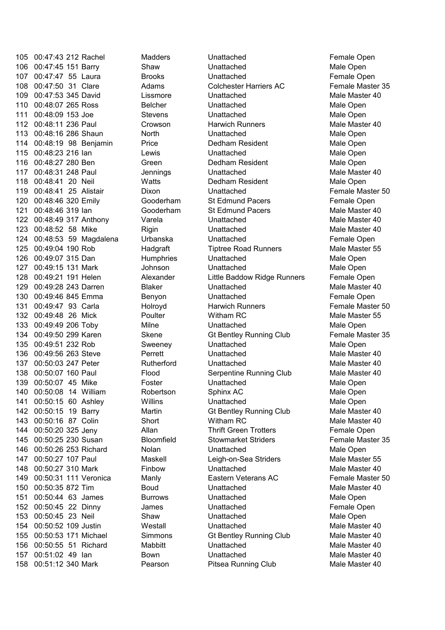105 00:47:43 212 Rachel Madders Unattached Chenale Open 106 00:47:45 151 Barry Shaw Unattached Male Open 107 00:47:47 55 Laura Brooks Unattached Female Open 108 00:47:50 31 Clare Adams Colchester Harriers AC Female Master 35 109 00:47:53 345 David Lissmore Unattached Unattached Male Master 40 110 00:48:07 265 Ross Belcher Unattached Unattached Male Open 111 00:48:09 153 Joe Stevens Unattached Male Open 112 00:48:11 236 Paul Crowson Harwich Runners Male Master 40 113 00:48:16 286 Shaun North North Unattached Male Open 114 00:48:19 98 Benjamin Price Dedham Resident Male Open 115 00:48:23 216 Ian Lewis Unattached Male Open 116 00:48:27 280 Ben Green Dedham Resident Male Open 117 00:48:31 248 Paul Jennings Unattached Male Master 40 118 00:48:41 20 Neil Watts Dedham Resident Male Open 119 00:48:41 25 Alistair Dixon Unattached Female Master 50 120 00:48:46 320 Emily Gooderham St Edmund Pacers Female Open 121 00:48:46 319 Ian Cooderham St Edmund Pacers Male Master 40 122 00:48:49 317 Anthony Varela Chattached Unattached Male Master 40 123 00:48:52 58 Mike Rigin Chattached Unattached Male Master 40 124 00:48:53 59 Magdalena Unattached Female Open 125 00:49:04 190 Rob Hadgraft Tiptree Road Runners Male Master 55 126 00:49:07 315 Dan Mumphries Unattached Male Open 127 00:49:15 131 Mark Johnson Unattached Male Open 128 00:49:21 191 Helen Alexander Little Baddow Ridge Runners Female Open 129 00:49:28 243 Darren Blaker Unattached Unattached Male Master 40 130 00:49:46 845 Emma Unattached Female Open 131 00:49:47 93 Carla **Holroyd** Harwich Runners Female Master 50 132 00:49:48 26 Mick **Poulter** Witham RC Male Master 55 133 00:49:49 206 Toby Milne Unattached Male Open 134 00:49:50 299 Karen Skene Gt Bentley Running Club Female Master 35 135 00:49:51 232 Rob Sweeney Unattached Male Open 136 00:49:56 263 Steve Unattached Male Master 40 137 00:50:03 247 Peter Rutherford Unattached Male Master 40 138 00:50:07 160 Paul Flood Serpentine Running Club Male Master 40 139 00:50:07 45 Mike Foster Chattached Unattached Male Open 140 00:50:08 14 William Robertson Sphinx AC Male Open 141 00:50:15 60 Ashley Millins Unattached Unattached Male Open 142 00:50:15 19 Barry Martin Gt Bentley Running Club Male Master 40 143 00:50:16 87 Colin Short Witham RC Male Master 40 144 00:50:20 325 Jeny Allan Thrift Green Trotters Female Open 145 00:50:25 230 Susan Bloomfield Stowmarket Striders Female Master 35 146 00:50:26 253 Richard Nolan Unattached Male Open 147 00:50:27 107 Paul Maskell Leigh-on-Sea Striders Male Master 55 148 00:50:27 310 Mark Unattached Male Master 40 149 00:50:31 111 Veronica Manly Eastern Veterans AC Female Master 50 150 00:50:35 872 Tim Unattached Male Master 40 151 00:50:44 63 James Burrows Unattached Male Open 152 00:50:45 22 James Unattached Female Open Dinny 153 00:50:45 23 Neil Shaw Unattached Male Open 154 00:50:52 109 Justin Unattached Male Master 40 155 00:50:53 171 Michael Simmons Gt Bentley Running Club Male Master 40 156 00:50:55 51 Richard Mabbitt Manual Unattached Male Male Master 40 157 00:51:02 49 Ian Unattached Male Master 40 158 00:51:12 340 Mark Pearson Pitsea Running Club Male Master 40

Lissmore Belcher Crowson Gooderham Gooderham Varela **Rigin** Urbanska **Humphries** Blaker Benyon Holroyd Poulter Skene Perrett Willins Maskell Finbow Boud **Westall Mabbitt** Bown

**Tiptree Road Runners** Pitsea Running Club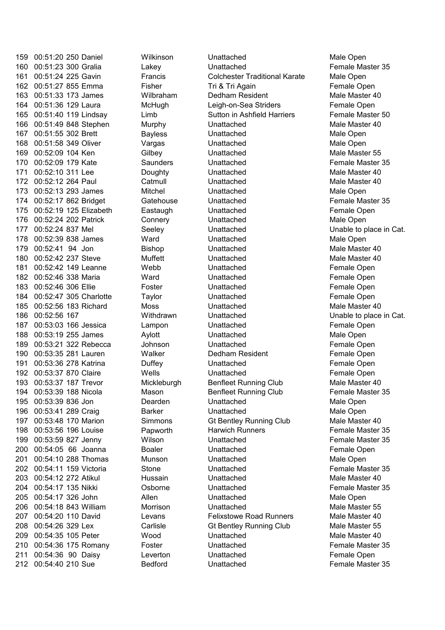00:51:23 300 Unattached Female Master 35 00:51:24 225 Gavin Francis Colchester Traditional Karate Male Open 162 00:51:27 855 Emma Fisher Fisher Fri & Tri Again Female Open 00:51:33 173 James Dedham Resident Male Master 40 00:51:36 129 Laura Leigh-on-Sea Striders Female Open 165 00:51:40 119 Lindsay Limb Sutton in Ashfield Harriers Female Master 50 166 00:51:49 848 Stephen Murphy Unattached Male Male Master 40 00:51:55 302 Brett Unattached Male Open 168 00:51:58 349 Oliver Vargas Unattached Unattached Male Open 00:52:09 104 Ken Unattached Male Master 55 00:52:09 179 Kate Saunders Unattached Female Master 35 171 00:52:10 311 Lee Doughty Unattached Male Master 40 172 00:52:12 264 Paul Catmull Unattached Unattached Male Master 40 00:52:13 293 James Unattached Male Open 00:52:17 862 Bridget Gatehouse Unattached Female Master 35 175 00:52:19 125 Elizabeth Eastaugh Unattached Communist Chemale Open 176 00:52:24 202 Patrick Connery Unattached Male Open 00:52:24 837 Mel Seeley Unattached Unable to place in Cat. 00:52:39 838 James Ward Unattached Male Open 179 00:52:41 94 Jon Bishop Unattached Male Master 40 180 00:52:42 237 Steve Muffett Unattached Unattached Male Master 40 181 00:52:42 149 Leanne Webb Unattached Female Open 00:52:46 338 Maria Ward Unattached Female Open 00:52:46 306 Ellie Foster Unattached Female Open 00:52:47 305 Charlotte Taylor Unattached Female Open 185 00:52:56 183 Richard Moss Moss Unattached Male Master 40 00:52:56 167 Withdrawn Unattached Unable to place in Cat. 187 00:53:03 166 Jessica Lampon Unattached Chemale Open 00:53:19 255 James Unattached Male Open 00:53:21 322 Rebecca Johnson Unattached Female Open 00:53:35 281 Lauren Walker Dedham Resident Female Open 191 00:53:36 278 Katrina Couffey Chattached Unattached Female Open 00:53:37 870 Claire Wells Unattached Female Open 00:53:37 187 Trevor Male Master 40 194 00:53:39 188 Nicola Mason Benfleet Running Club Female Master 35 00:53:39 836 Jon Unattached Male Open 00:53:41 289 Craig Barker Unattached Male Open 197 00:53:48 170 Marion Simmons Gt Bentley Running Club Male Master 40 198 00:53:56 196 Louise **Harmourth** Harwich Runners Female Master 35 00:53:59 827 Jenny Wilson Unattached Female Master 35 00:54:05 66 Joanna Unattached Female Open 00:54:10 288 Thomas Munson Unattached Male Open 00:54:11 159 Victoria Stone Unattached Female Master 35 203 00:54:12 272 Atikul Hussain Unattached Male Master 40 00:54:17 135 Nikki Osborne Unattached Female Master 35 00:54:17 326 John Allen Unattached Male Open 00:54:18 843 William Morrison Unattached Male Master 55 207 00:54:20 110 David Levans Felixstowe Road Runners Male Master 40 209 00:54:35 105 Peter Wood Unattached Unattached Male Master 40 00:54:36 175 Romany Foster Unattached Female Master 35 00:54:36 90 Daisy Leverton Unattached Female Open 00:54:40 210 Sue Bedford Unattached Female Master 35 208 00:54:26 329 Lex

Lakey Wilbraham **McHugh** Bayless **Gilbev Catmull** Mitchel **Eastaugh Connery** Muffett Lampon Aylott Duffey Dearden Papworth Boaler Levans

159 00:51:20 250 Daniel Wilkinson Unattached Male Open Carlisle **208 Carlisle** Gt Bentley Running Club Male Master 55 Tri & Tri Again Sutton in Ashfield Harriers **Benfleet Running Club** Benfleet Running Club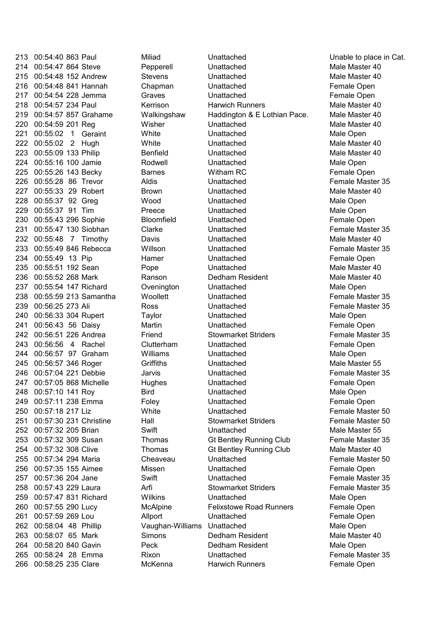00:54:40 863 Paul Unattached Unable to place in Cat. 00:54:47 864 Steve Unattached Male Master 40 215 00:54:48 152 Andrew Stevens Unattached Unattached Male Master 40 00:54:48 841 Hannah Chapman Unattached Female Open 217 00:54:54 228 Jemma Graves Unattached Female Open 218 00:54:57 234 Paul Kerrison Harwich Runners Male Master 40 00:54:57 857 Male Master 40 Grahame Walkingshaw Haddington & E Lothian Pace. 220 00:54:59 201 Reg Misher Unattached Unattached Male Master 40 221 00:55:02 1 Geraint Mhite **Unattached** Unattached Male Open 222 00:55:02 2 Hugh White Unattached Male Master 40 223 00:55:09 133 Philip Contracted Unattached Unattached Male Master 40 00:55:16 100 Jamie Unattached Male Open 00:55:26 143 Becky Barnes Witham RC Female Open 226 00:55:28 86 Trevor Aldis Unattached Female Master 35 227 00:55:33 29 Robert Brown Unattached Unattached Male Master 40 00:55:37 92 Greg Wood Unattached Male Open 00:55:37 91 Tim Unattached Male Open 00:55:43 296 Sophie Bloomfield Unattached Female Open 00:55:47 130 Siobhan Clarke Unattached Female Master 35 232 00:55:48 7 Timothy Davis Unattached David Unattached Male Master 40 00:55:49 846 Rebecca Unattached Female Master 35 00:55:49 13 Pip Unattached Female Open 235 00:55:51 192 Sean Pope Unattached Unattached Male Master 40 00:55:52 268 Mark Dedham Resident Male Master 40 237 00:55:54 147 Richard Cvenington Unattached Male Open 00:55:59 213 Samantha Unattached Female Master 35 00:56:25 273 Ali Ross Unattached Female Master 35 00:56:33 304 Rupert Taylor Unattached Male Open 00:56:43 56 Daisy Martin Unattached Female Open 00:56:51 226 Andrea Friend Stowmarket Striders Female Master 35 243 00:56:56 4 Rachel Clutterham Unattached **Female Open**  00:56:57 97 Graham Williams Unattached Male Open 245 00:56:57 346 Roger Griffiths Unattached Male Master 55 00:57:04 221 Debbie Jarvis Unattached Female Master 35 00:57:05 868 Michelle Hughes Unattached Female Open 00:57:10 141 Roy Bird Unattached Male Open 249 00:57:11 238 Emma Foley Chattached Female Open 00:57:18 217 Liz White Unattached Female Master 50 251 00:57:30 231 Christine Hall Stowmarket Striders Female Master 50 00:57:32 205 Brian Swift Unattached Male Master 55 253 00:57:32 309 Susan Thomas Gt Bentley Running Club Female Master 35 254 00:57:32 308 Clive Thomas Gt Bentley Running Club Male Master 40 00:57:34 294 Maria Unattached Female Master 50 00:57:35 155 Unattached Female Open 00:57:36 204 Jane Swift Unattached Female Master 35 00:57:43 229 Laura Stowmarket Striders Female Master 35 00:57:47 831 Richard Wilkins Unattached Male Open 00:57:55 290 Lucy Felixstowe Road Runners Female Open 00:57:59 269 Lou Unattached Female Open 262 00:58:04 48 Phillip Vaughan-Williams Unattached Male Open 00:58:07 65 Mark Dedham Resident Male Master 40 00:58:20 840 Gavin Peck Dedham Resident Male Open 00:58:24 28 Emma Unattached Female Master 35 00:58:25 235 Clare Harwich Runners Female Open

Miliad Pepperell Kerrison Benfield Rodwell Aldis **Preece** Willson Hamer Ranson **Ovenington Woollett** Clutterham **Griffiths** Cheaveau Missen Arfi **McAlpine** Allport **Simons** Rixon McKenna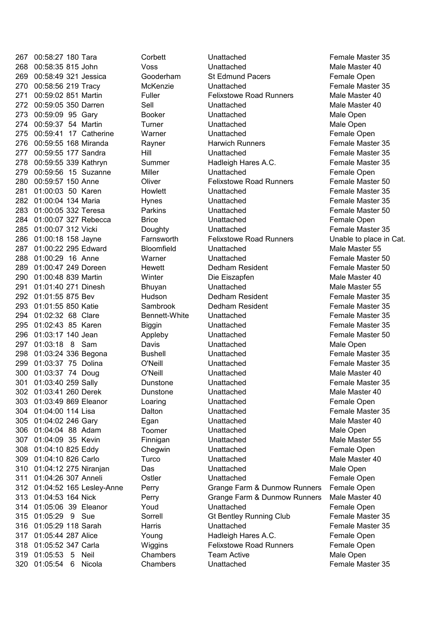320 01:05:54 6 Nicola Chambers Unattached Female Master 35

Gooderham Rayner Howlett Hynes Parkins Farnsworth Bhuyan Sambrook **Biggin** Appleby Dunstone Dunstone Loaring Toomer Finnigan **Chegwin Turco** Youd Sorrell

 00:58:27 180 Tara Corbett Unattached Female Master 35 00:58:35 815 John Voss Unattached Male Master 40 269 00:58:49 321 Jessica Gooderham St Edmund Pacers Female Open 00:58:56 219 Tracy McKenzie Unattached Female Master 35 271 00:59:02 851 Martin Fuller Felixstowe Road Runners Male Master 40 272 00:59:05 350 Darren Sell Sell Unattached Male Master 40 00:59:09 95 Gary Booker Unattached Male Open 00:59:37 54 Martin Turner Unattached Male Open 00:59:41 17 Catherine Warner Unattached Female Open 00:59:55 168 Miranda Harwich Runners Female Master 35 00:59:55 177 Sandra Hill Unattached Female Master 35 278 00:59:55 339 Kathryn Summer Hadleigh Hares A.C. Female Master 35 00:59:56 15 Suzanne Miller Unattached Female Open 00:59:57 150 Anne Oliver Felixstowe Road Runners Female Master 50 01:00:03 50 Karen Unattached Female Master 35 01:00:04 134 Maria Unattached Female Master 35 01:00:05 332 Teresa Unattached Female Master 50 01:00:07 327 Rebecca Brice Unattached Female Open 01:00:07 312 Vicki Doughty Unattached Female Master 35 01:00:18 158 Felixstowe Road Runners Unable to place in Cat. 01:00:22 295 Edward Bloomfield Unattached Male Master 55 01:00:29 16 Anne Warner Unattached Female Master 50 01:00:47 249 Doreen Hewett Dedham Resident Female Master 50 290 01:00:48 839 Martin Winter Die Eiszapfen Male Master 40 291 01:01:40 271 Dinesh Bhuyan Unattached Male Master 55 292 \ 01:01:55 875 Bev Hudson Dedham Resident Female Master 35 01:01:55 850 Katie Dedham Resident Female Master 35 294 01:02:32 68 Clare Bennett-White Unattached Female Master 35 01:02:43 85 Karen Unattached Female Master 35 01:03:17 140 Jean Unattached Female Master 50 297 01:03:18 8 Sam Davis Unattached Male Open 298 01:03:24 336 Begona Bushell Unattached Female Master 35 01:03:37 75 O'Neill Unattached Female Master 35 Dolina 300 01:03:37 74 Doug C'Neill Unattached Unattached Male Master 40 01:03:40 259 Sally Unattached Female Master 35 01:03:41 260 Derek Unattached Male Master 40 303 01:03:49 869 Eleanor Loaring Unattached The Female Open 01:04:00 114 Lisa Dalton Unattached Female Master 35 305 01:04:02 246 Gary Egan Chattached Unattached Male Master 40 01:04:04 88 Adam Unattached Male Open 307 01:04:09 35 Kevin Finnigan Unattached Male Master 55 01:04:10 825 Eddy Unattached Female Open 309 01:04:10 826 Carlo Carlo Curco Cunattached Unattached Male Master 40 01:04:12 275 Unattached Male Open Niranjan Das 311 01:04:26 307 Anneli Ostler Unattached Female Open 312 01:04:52 165 Lesley-Anne Perry Grange Farm & Dunmow Runners Female Open 313 01:04:53 164 Nick Perry Grange Farm & Dunmow Runners Male Master 40 01:05:06 39 Eleanor Unattached Female Open 01:05:29 9 Sue Gt Bentley Running Club Female Master 35 01:05:29 118 Sarah Harris Unattached Female Master 35 317 01:05:44 287 Alice The Young Hadleigh Hares A.C. Female Open 01:05:52 347 Carla Wiggins Felixstowe Road Runners Female Open 01:05:53 5 Neil Chambers Team Active Male Open Hadleigh Hares A.C. Die Eiszapfen Hadleigh Hares A.C.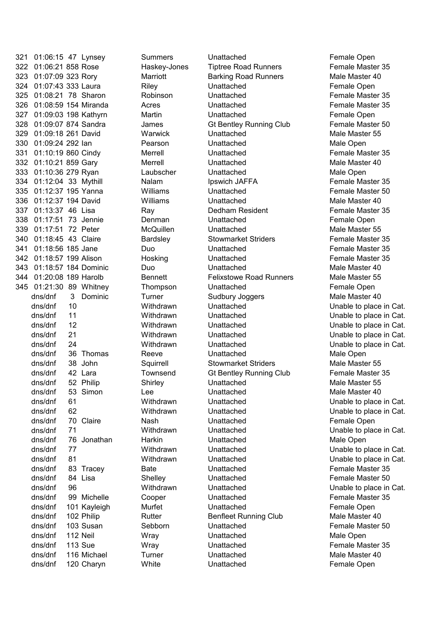321 01:06:15 47 Summers Unattached Female Open Lynsey 322 01:06:21 858 Rose Female Maskey-Jones Female Master 35 323 01:07:09 323 Rory Marriott Barking Road Runners Male Master 40 324 01:07:43 333 Laura Riley Unattached Female Open 325 01:08:21 78 Sharon Robinson Unattached Female Master 35 326 01:08:59 154 Miranda Acres Unattached Female Master 35 327 01:09:03 198 Martin Unattached Female Open Kathyrn 328 01:09:07 874 Sandra James Gt Bentley Running Club Female Master 50 329 01:09:18 261 David Warwick Unattached Unattached Male Master 55 330 01:09:24 292 Ian Pearson Unattached Male Open 331 01:10:19 860 Cindy Unattached Female Master 35 332 01:10:21 859 Gary Merrell Unattached Unattached Male Master 40 333 01:10:36 279 Ryan Unattached Male Open 334 01:12:04 33 Mythill Malam Nalam Ipswich JAFFA Female Master 35 335 01:12:37 195 Williams Unattached Female Master 50 Yanna 336 01:12:37 194 David Williams Unattached Unattached Male Master 40 337 01:13:37 46 Lisa Ray Dedham Resident Female Master 35 338 01:17:51 73 Jennie Unattached Female Open 339 01:17:51 72 Peter Unattached Male Master 55 340 01:18:45 43 Claire **Standall Bardsley** Stowmarket Striders Female Master 35 341 01:18:56 185 Jane Duo Unattached Female Master 35 342 01:18:57 199 Alison Unattached Female Master 35 343 01:18:57 184 Dominic Duo Unattached Male Master 40 344 01:20:08 189 Harolb Bennett Felixstowe Road Runners Male Master 55 345 01:21:30 89 Whitney Thompson Unattached Female Open dns/dnf 3 Dominic Turner Male Sudbury Joggers Male Master 40 76 Jonathan Unattached Male Open dns/dnf Harkin dns/dnf 101 Kayleigh Murfet **Chattached** Chattached **Female Open** dns/dnf 102 Philip **Male Master Active Rutter** Male Master 40 dns/dnf dns/dnf dns/dnf dns/dnf dns/dnf dns/dnf dns/dnf 38 John dns/dnf dns/dnf dns/dnf dns/dnf dns/dnf dns/dnf dns/dnf dns/dnf dns/dnf dns/dnf dns/dnf dns/dnf dns/dnf  $d$ ns/dnf  $103$  Susan  $d$ ns/dnf 112 Neil dns/dnf 113 Sue dns/dnf dns/dnf 120 Charyn

Merrell Merrell Laubscher Nalam Denman **McQuillen** Bardsley Hosking

10 Withdrawn Unattached Unable to place in Cat. 11 **1** Withdrawn Unattached Unable to place in Cat. 12 Withdrawn Unattached Unable to place in Cat. 21 Withdrawn Unattached Unable to place in Cat. 24 Withdrawn Unattached Unable to place in Cat. 36 Thomas Reeve **Unattached** Male Open Squirrell Stowmarket Striders Male Master 55 42 Lara Townsend Gt Bentley Running Club Female Master 35 52 Philip Shirley Unattached Male Master 55 53 Simon Lee Unattached Male Master 40 61 Withdrawn Unattached Unable to place in Cat. 62 Withdrawn Unattached Unable to place in Cat. 70 Claire **Nash** Unattached **Female Open** 71 Withdrawn Unattached Unable to place in Cat. 77 Withdrawn Unattached Unable to place in Cat. 81 Withdrawn Unattached **Unable to place in Cat.** 83 Tracey Bate Bate Unattached **Female Master 35** 84 Lisa Shelley Unattached **Female Master 50** 96 Withdrawn Unattached Unable to place in Cat. 99 Michelle Cooper Unattached Female Master 35 103 Sebborn Chattached Charles Temale Master 50 Wray **112 Unattached** Male Open **113 View Victor Unattached Contract Contract Female Master 35** 116 Michael Turner Unattached Male Master 40 120 White **Unattached White Unattached Female Open Tiptree Road Runners**